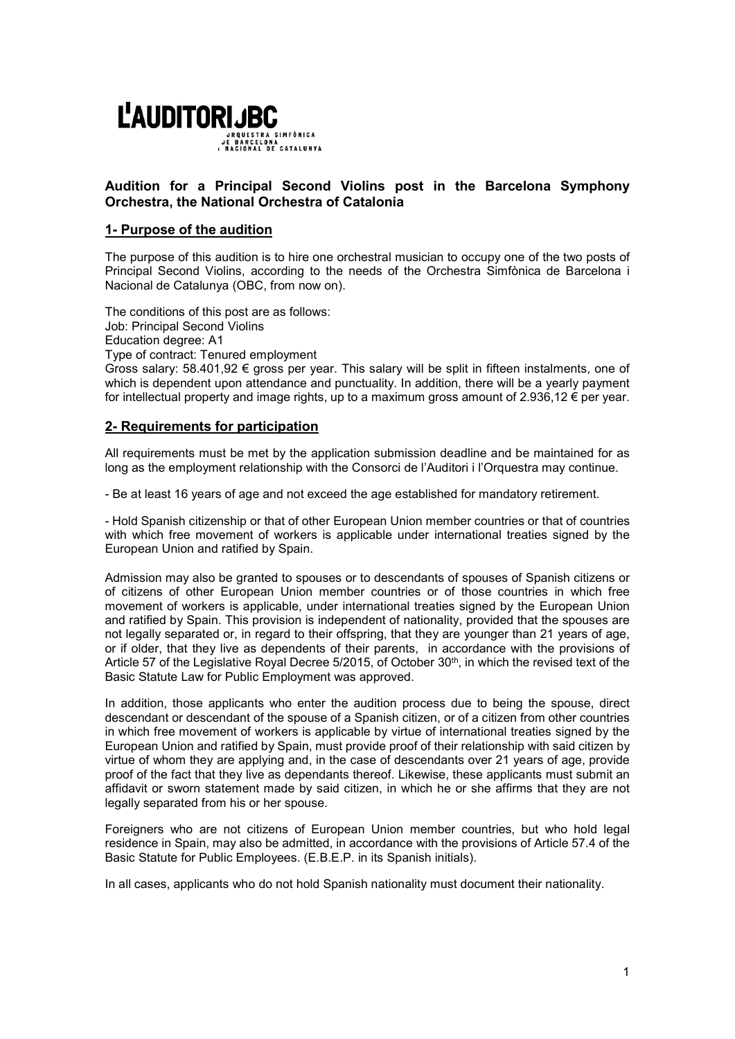

# Audition for a Principal Second Violins post in the Barcelona Symphony Orchestra, the National Orchestra of Catalonia

# 1- Purpose of the audition

The purpose of this audition is to hire one orchestral musician to occupy one of the two posts of Principal Second Violins, according to the needs of the Orchestra Simfònica de Barcelona i Nacional de Catalunya (OBC, from now on).

The conditions of this post are as follows: Job: Principal Second Violins Education degree: A1 Type of contract: Tenured employment

Gross salary:  $58.401,92 \in \text{gross per year}$ . This salary will be split in fifteen instalments, one of which is dependent upon attendance and punctuality. In addition, there will be a yearly payment for intellectual property and image rights, up to a maximum gross amount of 2.936,12 € per year.

# 2- Requirements for participation

All requirements must be met by the application submission deadline and be maintained for as long as the employment relationship with the Consorci de l'Auditori i l'Orquestra may continue.

- Be at least 16 years of age and not exceed the age established for mandatory retirement.

- Hold Spanish citizenship or that of other European Union member countries or that of countries with which free movement of workers is applicable under international treaties signed by the European Union and ratified by Spain.

Admission may also be granted to spouses or to descendants of spouses of Spanish citizens or of citizens of other European Union member countries or of those countries in which free movement of workers is applicable, under international treaties signed by the European Union and ratified by Spain. This provision is independent of nationality, provided that the spouses are not legally separated or, in regard to their offspring, that they are younger than 21 years of age, or if older, that they live as dependents of their parents, in accordance with the provisions of Article 57 of the Legislative Royal Decree 5/2015, of October 30<sup>th</sup>, in which the revised text of the Basic Statute Law for Public Employment was approved.

In addition, those applicants who enter the audition process due to being the spouse, direct descendant or descendant of the spouse of a Spanish citizen, or of a citizen from other countries in which free movement of workers is applicable by virtue of international treaties signed by the European Union and ratified by Spain, must provide proof of their relationship with said citizen by virtue of whom they are applying and, in the case of descendants over 21 years of age, provide proof of the fact that they live as dependants thereof. Likewise, these applicants must submit an affidavit or sworn statement made by said citizen, in which he or she affirms that they are not legally separated from his or her spouse.

Foreigners who are not citizens of European Union member countries, but who hold legal residence in Spain, may also be admitted, in accordance with the provisions of Article 57.4 of the Basic Statute for Public Employees. (E.B.E.P. in its Spanish initials).

In all cases, applicants who do not hold Spanish nationality must document their nationality.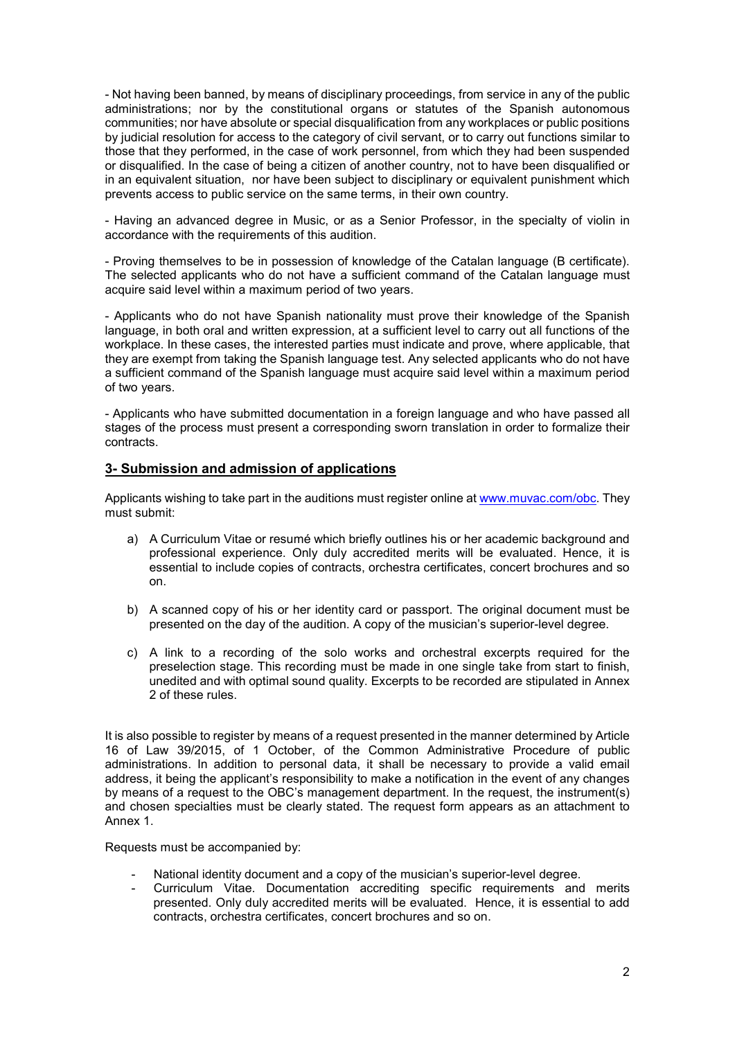- Not having been banned, by means of disciplinary proceedings, from service in any of the public administrations; nor by the constitutional organs or statutes of the Spanish autonomous communities; nor have absolute or special disqualification from any workplaces or public positions by judicial resolution for access to the category of civil servant, or to carry out functions similar to those that they performed, in the case of work personnel, from which they had been suspended or disqualified. In the case of being a citizen of another country, not to have been disqualified or in an equivalent situation, nor have been subject to disciplinary or equivalent punishment which prevents access to public service on the same terms, in their own country.

- Having an advanced degree in Music, or as a Senior Professor, in the specialty of violin in accordance with the requirements of this audition.

- Proving themselves to be in possession of knowledge of the Catalan language (B certificate). The selected applicants who do not have a sufficient command of the Catalan language must acquire said level within a maximum period of two years.

- Applicants who do not have Spanish nationality must prove their knowledge of the Spanish language, in both oral and written expression, at a sufficient level to carry out all functions of the workplace. In these cases, the interested parties must indicate and prove, where applicable, that they are exempt from taking the Spanish language test. Any selected applicants who do not have a sufficient command of the Spanish language must acquire said level within a maximum period of two years.

- Applicants who have submitted documentation in a foreign language and who have passed all stages of the process must present a corresponding sworn translation in order to formalize their contracts.

### 3- Submission and admission of applications

Applicants wishing to take part in the auditions must register online at www.muyac.com/obc. They must submit:

- a) A Curriculum Vitae or resumé which briefly outlines his or her academic background and professional experience. Only duly accredited merits will be evaluated. Hence, it is essential to include copies of contracts, orchestra certificates, concert brochures and so on.
- b) A scanned copy of his or her identity card or passport. The original document must be presented on the day of the audition. A copy of the musician's superior-level degree.
- c) A link to a recording of the solo works and orchestral excerpts required for the preselection stage. This recording must be made in one single take from start to finish, unedited and with optimal sound quality. Excerpts to be recorded are stipulated in Annex 2 of these rules.

It is also possible to register by means of a request presented in the manner determined by Article 16 of Law 39/2015, of 1 October, of the Common Administrative Procedure of public administrations. In addition to personal data, it shall be necessary to provide a valid email address, it being the applicant's responsibility to make a notification in the event of any changes by means of a request to the OBC's management department. In the request, the instrument(s) and chosen specialties must be clearly stated. The request form appears as an attachment to Annex 1.

Requests must be accompanied by:

- National identity document and a copy of the musician's superior-level degree.
- Curriculum Vitae. Documentation accrediting specific requirements and merits presented. Only duly accredited merits will be evaluated. Hence, it is essential to add contracts, orchestra certificates, concert brochures and so on.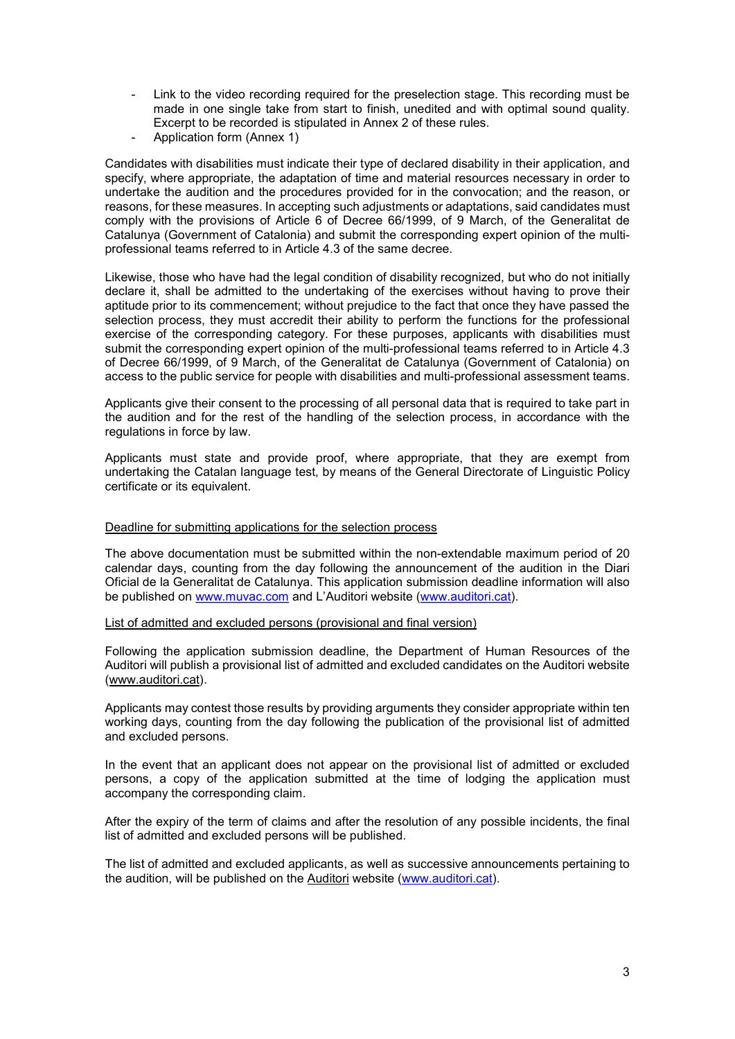- Link to the video recording required for the preselection stage. This recording must be made in one single take from start to finish, unedited and with optimal sound quality. Excerpt to be recorded is stipulated in Annex 2 of these rules.
- Application form (Annex 1)

Candidates with disabilities must indicate their type of declared disability in their application, and specify, where appropriate, the adaptation of time and material resources necessary in order to undertake the audition and the procedures provided for in the convocation; and the reason, or reasons, for these measures. In accepting such adjustments or adaptations, said candidates must comply with the provisions of Article 6 of Decree 66/1999, of 9 March, of the Generalitat de Catalunya (Government of Catalonia) and submit the corresponding expert opinion of the multiprofessional teams referred to in Article 4.3 of the same decree.

Likewise, those who have had the legal condition of disability recognized, but who do not initially declare it, shall be admitted to the undertaking of the exercises without having to prove their aptitude prior to its commencement; without prejudice to the fact that once they have passed the selection process, they must accredit their ability to perform the functions for the professional exercise of the corresponding category. For these purposes, applicants with disabilities must submit the corresponding expert opinion of the multi-professional teams referred to in Article 4.3 of Decree 66/1999, of 9 March, of the Generalitat de Catalunya (Government of Catalonia) on access to the public service for people with disabilities and multi-professional assessment teams.

Applicants give their consent to the processing of all personal data that is required to take part in the audition and for the rest of the handling of the selection process, in accordance with the regulations in force by law.

Applicants must state and provide proof, where appropriate, that they are exempt from undertaking the Catalan language test, by means of the General Directorate of Linguistic Policy certificate or its equivalent.

#### Deadline for submitting applications for the selection process

The above documentation must be submitted within the non-extendable maximum period of 20 calendar days, counting from the day following the announcement of the audition in the Diari Oficial de la Generalitat de Catalunya. This application submission deadline information will also be published on www.muvac.com and L'Auditori website (www.auditori.cat).

List of admitted and excluded persons (provisional and final version)

Following the application submission deadline, the Department of Human Resources of the Auditori will publish a provisional list of admitted and excluded candidates on the Auditori website (www.auditori.cat).

Applicants may contest those results by providing arguments they consider appropriate within ten working days, counting from the day following the publication of the provisional list of admitted and excluded persons.

In the event that an applicant does not appear on the provisional list of admitted or excluded persons, a copy of the application submitted at the time of lodging the application must accompany the corresponding claim.

After the expiry of the term of claims and after the resolution of any possible incidents, the final list of admitted and excluded persons will be published.

The list of admitted and excluded applicants, as well as successive announcements pertaining to the audition, will be published on the Auditori website (www.auditori.cat).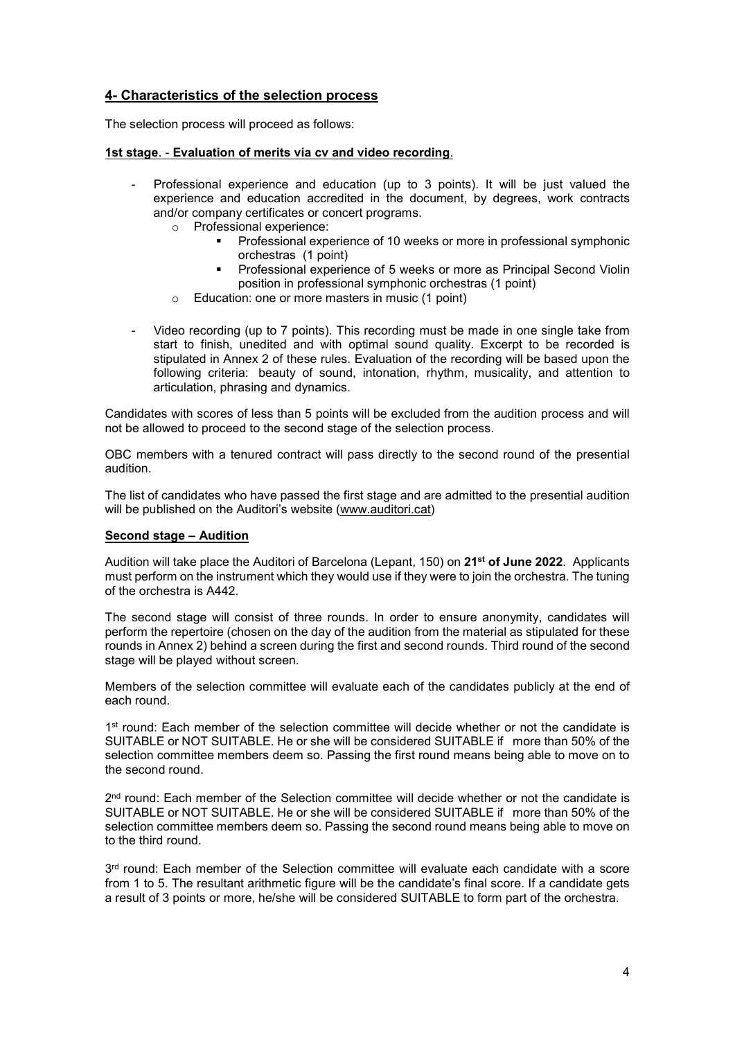# 4- Characteristics of the selection process

The selection process will proceed as follows:

#### 1st stage. - Evaluation of merits via cv and video recording.

- Professional experience and education (up to 3 points). It will be just valued the experience and education accredited in the document, by degrees, work contracts and/or company certificates or concert programs.
	- o Professional experience:
		- **Professional experience of 10 weeks or more in professional symphonic** orchestras (1 point)
		- **Professional experience of 5 weeks or more as Principal Second Violin** position in professional symphonic orchestras (1 point)
	- o Education: one or more masters in music (1 point)
- Video recording (up to 7 points). This recording must be made in one single take from start to finish, unedited and with optimal sound quality. Excerpt to be recorded is stipulated in Annex 2 of these rules. Evaluation of the recording will be based upon the following criteria: beauty of sound, intonation, rhythm, musicality, and attention to articulation, phrasing and dynamics.

Candidates with scores of less than 5 points will be excluded from the audition process and will not be allowed to proceed to the second stage of the selection process.

OBC members with a tenured contract will pass directly to the second round of the presential audition.

The list of candidates who have passed the first stage and are admitted to the presential audition will be published on the Auditori's website (www.auditori.cat)

### Second stage – Audition

Audition will take place the Auditori of Barcelona (Lepant, 150) on 21<sup>st</sup> of June 2022. Applicants must perform on the instrument which they would use if they were to join the orchestra. The tuning of the orchestra is A442.

The second stage will consist of three rounds. In order to ensure anonymity, candidates will perform the repertoire (chosen on the day of the audition from the material as stipulated for these rounds in Annex 2) behind a screen during the first and second rounds. Third round of the second stage will be played without screen.

Members of the selection committee will evaluate each of the candidates publicly at the end of each round.

1<sup>st</sup> round: Each member of the selection committee will decide whether or not the candidate is SUITABLE or NOT SUITABLE. He or she will be considered SUITABLE if more than 50% of the selection committee members deem so. Passing the first round means being able to move on to the second round.

2<sup>nd</sup> round: Each member of the Selection committee will decide whether or not the candidate is SUITABLE or NOT SUITABLE. He or she will be considered SUITABLE if more than 50% of the selection committee members deem so. Passing the second round means being able to move on to the third round.

3<sup>rd</sup> round: Each member of the Selection committee will evaluate each candidate with a score from 1 to 5. The resultant arithmetic figure will be the candidate's final score. If a candidate gets a result of 3 points or more, he/she will be considered SUITABLE to form part of the orchestra.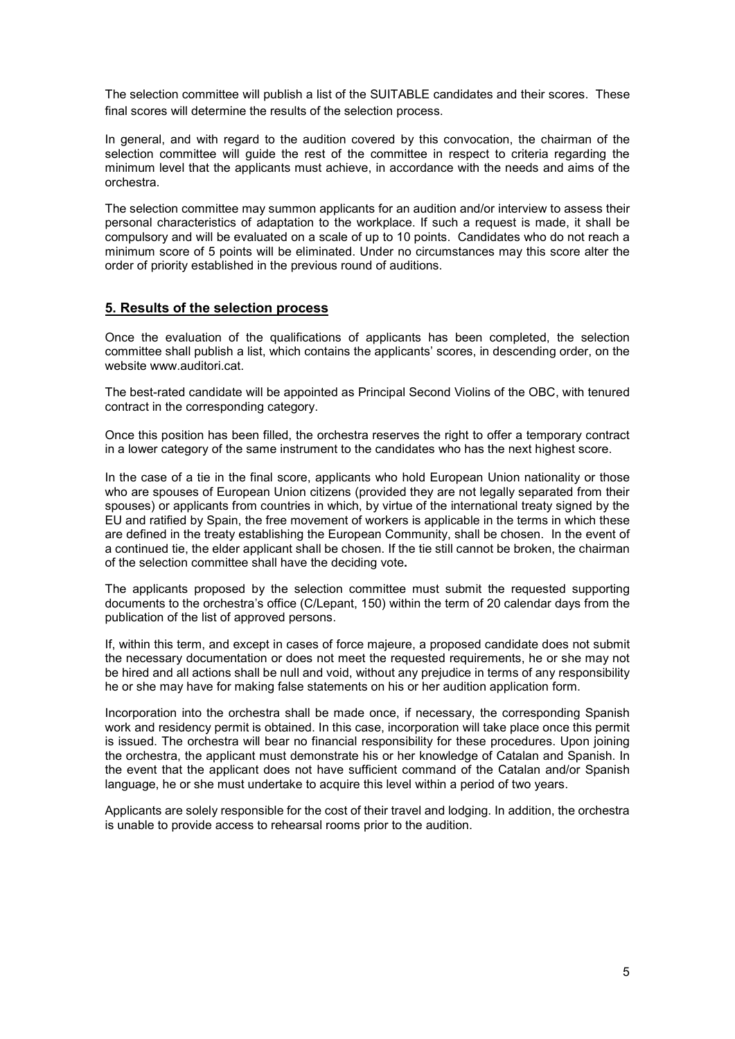The selection committee will publish a list of the SUITABLE candidates and their scores. These final scores will determine the results of the selection process.

In general, and with regard to the audition covered by this convocation, the chairman of the selection committee will guide the rest of the committee in respect to criteria regarding the minimum level that the applicants must achieve, in accordance with the needs and aims of the orchestra.

The selection committee may summon applicants for an audition and/or interview to assess their personal characteristics of adaptation to the workplace. If such a request is made, it shall be compulsory and will be evaluated on a scale of up to 10 points. Candidates who do not reach a minimum score of 5 points will be eliminated. Under no circumstances may this score alter the order of priority established in the previous round of auditions.

# 5. Results of the selection process

Once the evaluation of the qualifications of applicants has been completed, the selection committee shall publish a list, which contains the applicants' scores, in descending order, on the website www.auditori.cat.

The best-rated candidate will be appointed as Principal Second Violins of the OBC, with tenured contract in the corresponding category.

Once this position has been filled, the orchestra reserves the right to offer a temporary contract in a lower category of the same instrument to the candidates who has the next highest score.

In the case of a tie in the final score, applicants who hold European Union nationality or those who are spouses of European Union citizens (provided they are not legally separated from their spouses) or applicants from countries in which, by virtue of the international treaty signed by the EU and ratified by Spain, the free movement of workers is applicable in the terms in which these are defined in the treaty establishing the European Community, shall be chosen. In the event of a continued tie, the elder applicant shall be chosen. If the tie still cannot be broken, the chairman of the selection committee shall have the deciding vote.

The applicants proposed by the selection committee must submit the requested supporting documents to the orchestra's office (C/Lepant, 150) within the term of 20 calendar days from the publication of the list of approved persons.

If, within this term, and except in cases of force majeure, a proposed candidate does not submit the necessary documentation or does not meet the requested requirements, he or she may not be hired and all actions shall be null and void, without any prejudice in terms of any responsibility he or she may have for making false statements on his or her audition application form.

Incorporation into the orchestra shall be made once, if necessary, the corresponding Spanish work and residency permit is obtained. In this case, incorporation will take place once this permit is issued. The orchestra will bear no financial responsibility for these procedures. Upon joining the orchestra, the applicant must demonstrate his or her knowledge of Catalan and Spanish. In the event that the applicant does not have sufficient command of the Catalan and/or Spanish language, he or she must undertake to acquire this level within a period of two years.

Applicants are solely responsible for the cost of their travel and lodging. In addition, the orchestra is unable to provide access to rehearsal rooms prior to the audition.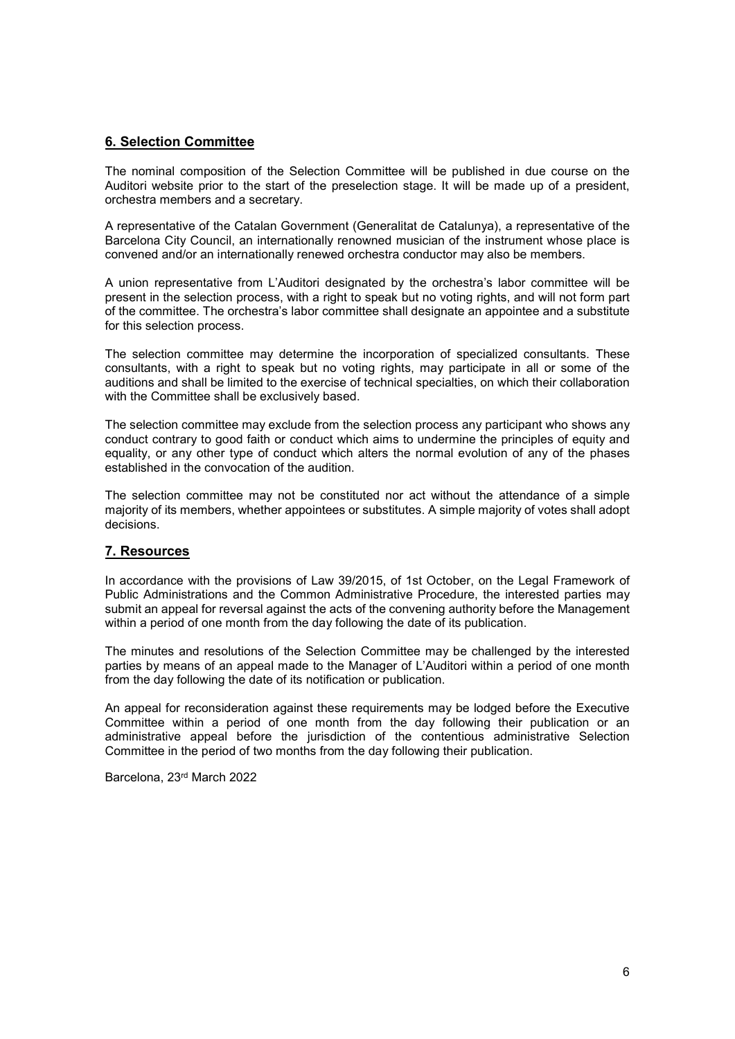# 6. Selection Committee

The nominal composition of the Selection Committee will be published in due course on the Auditori website prior to the start of the preselection stage. It will be made up of a president, orchestra members and a secretary.

A representative of the Catalan Government (Generalitat de Catalunya), a representative of the Barcelona City Council, an internationally renowned musician of the instrument whose place is convened and/or an internationally renewed orchestra conductor may also be members.

A union representative from L'Auditori designated by the orchestra's labor committee will be present in the selection process, with a right to speak but no voting rights, and will not form part of the committee. The orchestra's labor committee shall designate an appointee and a substitute for this selection process.

The selection committee may determine the incorporation of specialized consultants. These consultants, with a right to speak but no voting rights, may participate in all or some of the auditions and shall be limited to the exercise of technical specialties, on which their collaboration with the Committee shall be exclusively based.

The selection committee may exclude from the selection process any participant who shows any conduct contrary to good faith or conduct which aims to undermine the principles of equity and equality, or any other type of conduct which alters the normal evolution of any of the phases established in the convocation of the audition.

The selection committee may not be constituted nor act without the attendance of a simple majority of its members, whether appointees or substitutes. A simple majority of votes shall adopt decisions.

### 7. Resources

In accordance with the provisions of Law 39/2015, of 1st October, on the Legal Framework of Public Administrations and the Common Administrative Procedure, the interested parties may submit an appeal for reversal against the acts of the convening authority before the Management within a period of one month from the day following the date of its publication.

The minutes and resolutions of the Selection Committee may be challenged by the interested parties by means of an appeal made to the Manager of L'Auditori within a period of one month from the day following the date of its notification or publication.

An appeal for reconsideration against these requirements may be lodged before the Executive Committee within a period of one month from the day following their publication or an administrative appeal before the jurisdiction of the contentious administrative Selection Committee in the period of two months from the day following their publication.

Barcelona, 23rd March 2022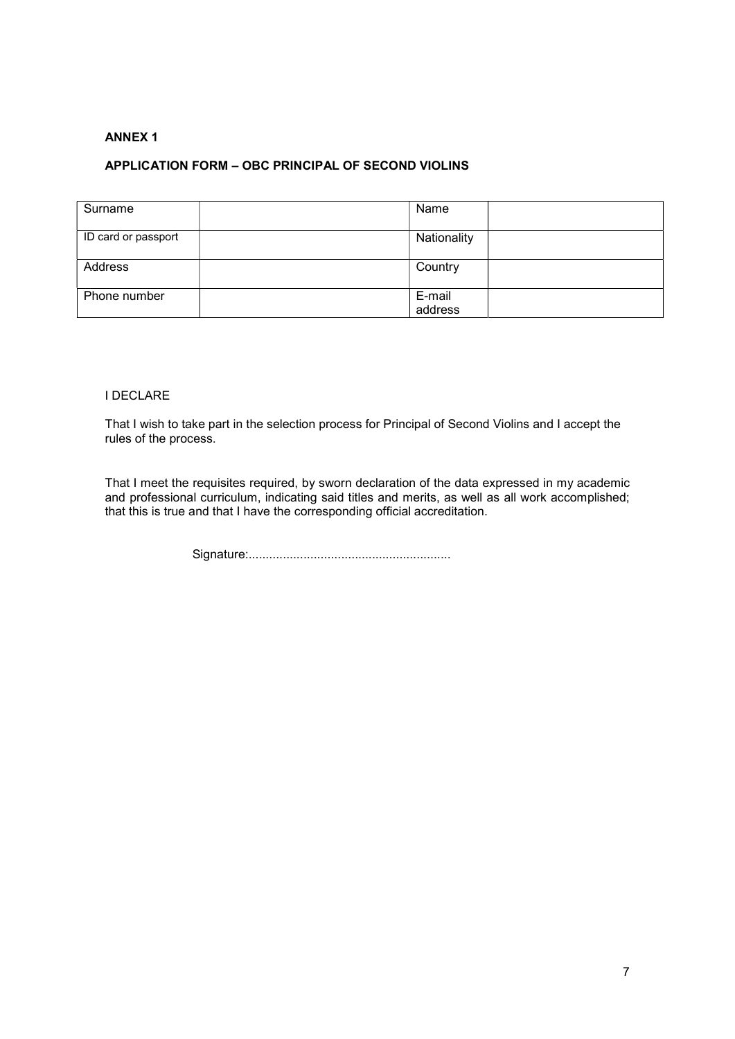# ANNEX 1

### APPLICATION FORM – OBC PRINCIPAL OF SECOND VIOLINS

| Surname             | Name              |  |
|---------------------|-------------------|--|
| ID card or passport | Nationality       |  |
| Address             | Country           |  |
| Phone number        | E-mail<br>address |  |

#### I DECLARE

That I wish to take part in the selection process for Principal of Second Violins and I accept the rules of the process.

That I meet the requisites required, by sworn declaration of the data expressed in my academic and professional curriculum, indicating said titles and merits, as well as all work accomplished; that this is true and that I have the corresponding official accreditation.

Signature:...........................................................